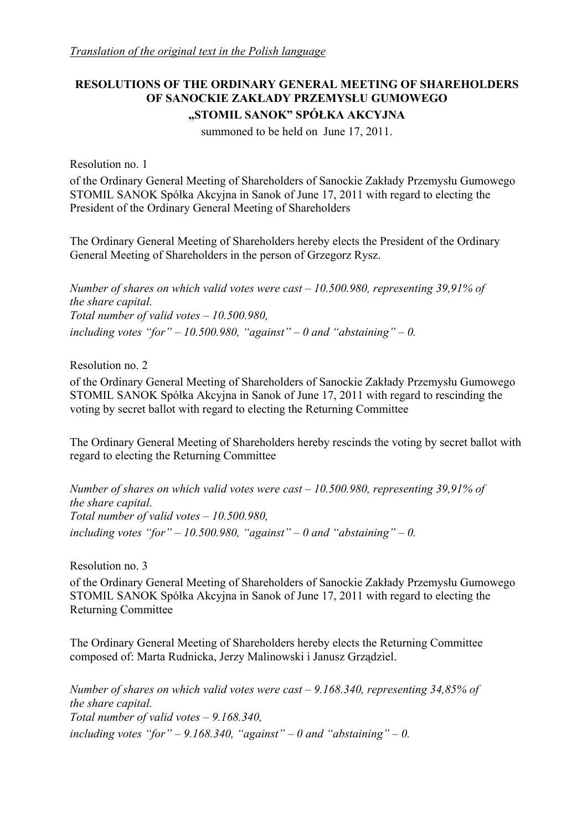# **RESOLUTIONS OF THE ORDINARY GENERAL MEETING OF SHAREHOLDERS OF SANOCKIE ZAKŁADY PRZEMYSŁU GUMOWEGO "STOMIL SANOK" SPÓŁKA AKCYJNA**

summoned to be held on June 17, 2011.

Resolution no. 1

of the Ordinary General Meeting of Shareholders of Sanockie Zakłady Przemysłu Gumowego STOMIL SANOK Spółka Akcyjna in Sanok of June 17, 2011 with regard to electing the President of the Ordinary General Meeting of Shareholders

The Ordinary General Meeting of Shareholders hereby elects the President of the Ordinary General Meeting of Shareholders in the person of Grzegorz Rysz.

*Number of shares on which valid votes were cast – 10.500.980, representing 39,91% of the share capital. Total number of valid votes – 10.500.980,*  including votes "for" – 10.500.980, "against" – 0 and "abstaining" – 0.

Resolution no. 2

of the Ordinary General Meeting of Shareholders of Sanockie Zakłady Przemysłu Gumowego STOMIL SANOK Spółka Akcyjna in Sanok of June 17, 2011 with regard to rescinding the voting by secret ballot with regard to electing the Returning Committee

The Ordinary General Meeting of Shareholders hereby rescinds the voting by secret ballot with regard to electing the Returning Committee

*Number of shares on which valid votes were cast – 10.500.980, representing 39,91% of the share capital. Total number of valid votes – 10.500.980,*  including votes "for" – 10.500.980, "against" – 0 and "abstaining" – 0.

Resolution no. 3

of the Ordinary General Meeting of Shareholders of Sanockie Zakłady Przemysłu Gumowego STOMIL SANOK Spółka Akcyjna in Sanok of June 17, 2011 with regard to electing the Returning Committee

The Ordinary General Meeting of Shareholders hereby elects the Returning Committee composed of: Marta Rudnicka, Jerzy Malinowski i Janusz Grządziel.

*Number of shares on which valid votes were cast – 9.168.340, representing 34,85% of the share capital. Total number of valid votes – 9.168.340,*  including votes "for" – 9.168.340, "against" – 0 and "abstaining" – 0.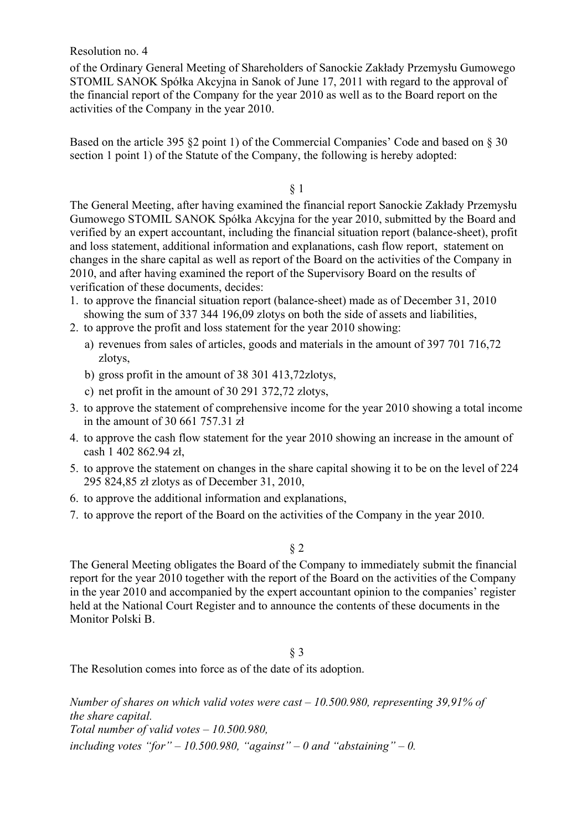Resolution no. 4

of the Ordinary General Meeting of Shareholders of Sanockie Zakłady Przemysłu Gumowego STOMIL SANOK Spółka Akcyjna in Sanok of June 17, 2011 with regard to the approval of the financial report of the Company for the year 2010 as well as to the Board report on the activities of the Company in the year 2010.

Based on the article 395 §2 point 1) of the Commercial Companies' Code and based on § 30 section 1 point 1) of the Statute of the Company, the following is hereby adopted:

§ 1

The General Meeting, after having examined the financial report Sanockie Zakłady Przemysłu Gumowego STOMIL SANOK Spółka Akcyjna for the year 2010, submitted by the Board and verified by an expert accountant, including the financial situation report (balance-sheet), profit and loss statement, additional information and explanations, cash flow report, statement on changes in the share capital as well as report of the Board on the activities of the Company in 2010, and after having examined the report of the Supervisory Board on the results of verification of these documents, decides:

- 1. to approve the financial situation report (balance-sheet) made as of December 31, 2010 showing the sum of 337 344 196,09 zlotys on both the side of assets and liabilities,
- 2. to approve the profit and loss statement for the year 2010 showing:
	- a) revenues from sales of articles, goods and materials in the amount of 397 701 716,72 zlotys,
	- b) gross profit in the amount of 38 301 413,72zlotys,
	- c) net profit in the amount of 30 291 372,72 zlotys,
- 3. to approve the statement of comprehensive income for the year 2010 showing a total income in the amount of 30 661 757.31 zł
- 4. to approve the cash flow statement for the year 2010 showing an increase in the amount of cash 1 402 862.94 zł,
- 5. to approve the statement on changes in the share capital showing it to be on the level of 224 295 824,85 zł zlotys as of December 31, 2010,
- 6. to approve the additional information and explanations,
- 7. to approve the report of the Board on the activities of the Company in the year 2010.

§ 2

The General Meeting obligates the Board of the Company to immediately submit the financial report for the year 2010 together with the report of the Board on the activities of the Company in the year 2010 and accompanied by the expert accountant opinion to the companies' register held at the National Court Register and to announce the contents of these documents in the Monitor Polski B.

## § 3

The Resolution comes into force as of the date of its adoption.

*Number of shares on which valid votes were cast – 10.500.980, representing 39,91% of the share capital. Total number of valid votes – 10.500.980,*  including votes "for" – 10.500.980, "against" – 0 and "abstaining" – 0.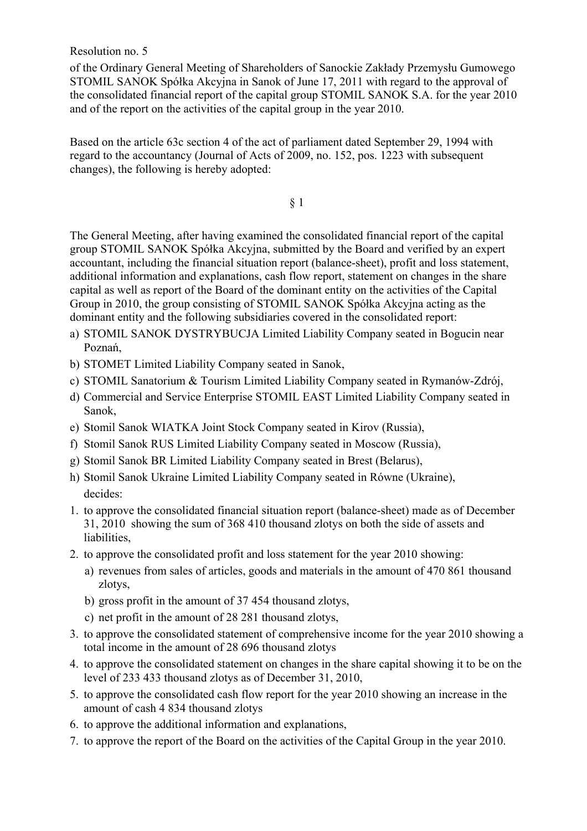Resolution no. 5

of the Ordinary General Meeting of Shareholders of Sanockie Zakłady Przemysłu Gumowego STOMIL SANOK Spółka Akcyjna in Sanok of June 17, 2011 with regard to the approval of the consolidated financial report of the capital group STOMIL SANOK S.A. for the year 2010 and of the report on the activities of the capital group in the year 2010.

Based on the article 63c section 4 of the act of parliament dated September 29, 1994 with regard to the accountancy (Journal of Acts of 2009, no. 152, pos. 1223 with subsequent changes), the following is hereby adopted:

§ 1

The General Meeting, after having examined the consolidated financial report of the capital group STOMIL SANOK Spółka Akcyjna, submitted by the Board and verified by an expert accountant, including the financial situation report (balance-sheet), profit and loss statement, additional information and explanations, cash flow report, statement on changes in the share capital as well as report of the Board of the dominant entity on the activities of the Capital Group in 2010, the group consisting of STOMIL SANOK Spółka Akcyjna acting as the dominant entity and the following subsidiaries covered in the consolidated report:

- a) STOMIL SANOK DYSTRYBUCJA Limited Liability Company seated in Bogucin near Poznań,
- b) STOMET Limited Liability Company seated in Sanok,
- c) STOMIL Sanatorium & Tourism Limited Liability Company seated in Rymanów-Zdrój,
- d) Commercial and Service Enterprise STOMIL EAST Limited Liability Company seated in Sanok,
- e) Stomil Sanok WIATKA Joint Stock Company seated in Kirov (Russia),
- f) Stomil Sanok RUS Limited Liability Company seated in Moscow (Russia),
- g) Stomil Sanok BR Limited Liability Company seated in Brest (Belarus),
- h) Stomil Sanok Ukraine Limited Liability Company seated in Równe (Ukraine), decides:
- 1. to approve the consolidated financial situation report (balance-sheet) made as of December 31, 2010 showing the sum of 368 410 thousand zlotys on both the side of assets and liabilities,
- 2. to approve the consolidated profit and loss statement for the year 2010 showing:
	- a) revenues from sales of articles, goods and materials in the amount of 470 861 thousand zlotys,
	- b) gross profit in the amount of 37 454 thousand zlotys,
	- c) net profit in the amount of 28 281 thousand zlotys,
- 3. to approve the consolidated statement of comprehensive income for the year 2010 showing a total income in the amount of 28 696 thousand zlotys
- 4. to approve the consolidated statement on changes in the share capital showing it to be on the level of 233 433 thousand zlotys as of December 31, 2010,
- 5. to approve the consolidated cash flow report for the year 2010 showing an increase in the amount of cash 4 834 thousand zlotys
- 6. to approve the additional information and explanations,
- 7. to approve the report of the Board on the activities of the Capital Group in the year 2010.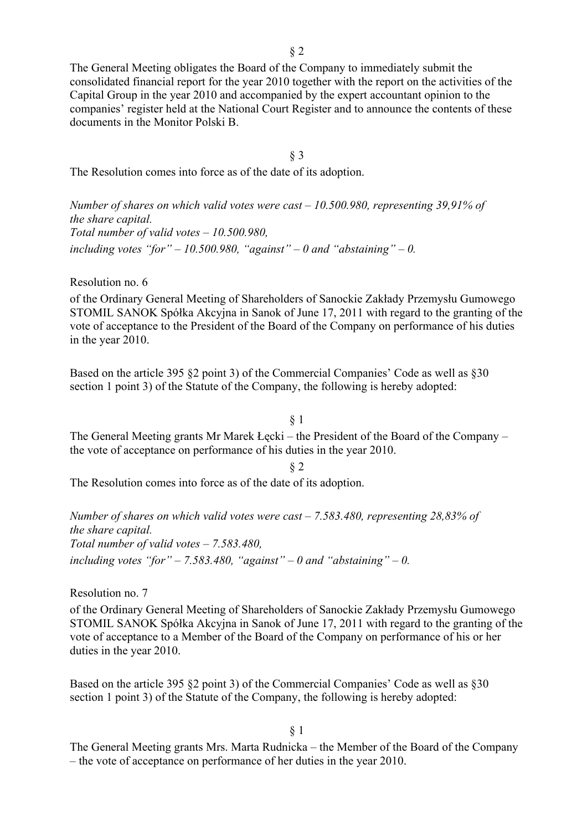The General Meeting obligates the Board of the Company to immediately submit the consolidated financial report for the year 2010 together with the report on the activities of the Capital Group in the year 2010 and accompanied by the expert accountant opinion to the companies' register held at the National Court Register and to announce the contents of these documents in the Monitor Polski B.

§ 3

The Resolution comes into force as of the date of its adoption.

*Number of shares on which valid votes were cast – 10.500.980, representing 39,91% of the share capital. Total number of valid votes – 10.500.980,*  including votes "for"  $-10.500.980$ , "against"  $-0$  and "abstaining"  $-0$ .

Resolution no. 6

of the Ordinary General Meeting of Shareholders of Sanockie Zakłady Przemysłu Gumowego STOMIL SANOK Spółka Akcyjna in Sanok of June 17, 2011 with regard to the granting of the vote of acceptance to the President of the Board of the Company on performance of his duties in the year 2010.

Based on the article 395 §2 point 3) of the Commercial Companies' Code as well as §30 section 1 point 3) of the Statute of the Company, the following is hereby adopted:

The General Meeting grants Mr Marek Łęcki – the President of the Board of the Company – the vote of acceptance on performance of his duties in the year 2010.

The Resolution comes into force as of the date of its adoption.

*Number of shares on which valid votes were cast – 7.583.480, representing 28,83% of the share capital. Total number of valid votes – 7.583.480,*  including votes "for" – 7.583.480, "against" – 0 and "abstaining" – 0.

Resolution no. 7

of the Ordinary General Meeting of Shareholders of Sanockie Zakłady Przemysłu Gumowego STOMIL SANOK Spółka Akcyjna in Sanok of June 17, 2011 with regard to the granting of the vote of acceptance to a Member of the Board of the Company on performance of his or her duties in the year 2010.

Based on the article 395 §2 point 3) of the Commercial Companies' Code as well as §30 section 1 point 3) of the Statute of the Company, the following is hereby adopted:

§ 1

The General Meeting grants Mrs. Marta Rudnicka – the Member of the Board of the Company – the vote of acceptance on performance of her duties in the year 2010.

§ 1

§ 2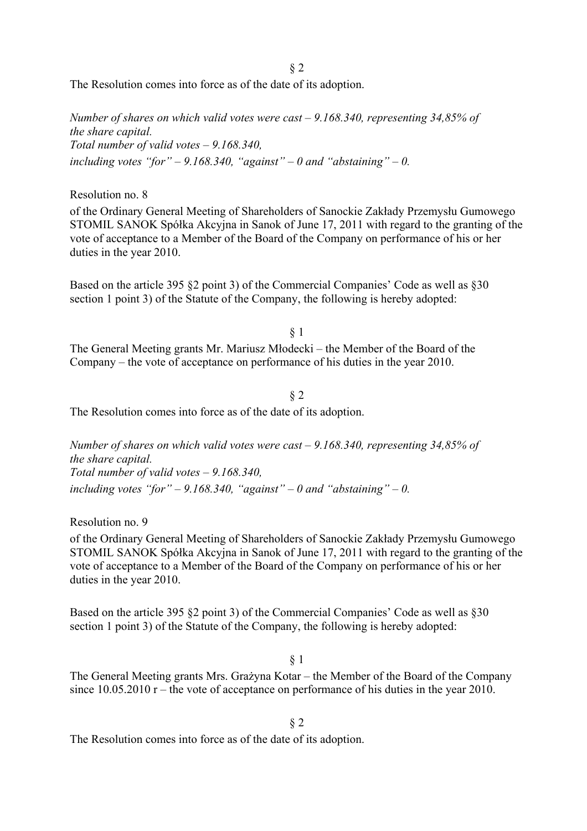§ 2

The Resolution comes into force as of the date of its adoption.

*Number of shares on which valid votes were cast – 9.168.340, representing 34,85% of the share capital. Total number of valid votes – 9.168.340,*  including votes "for" – 9.168.340, "against" – 0 and "abstaining" – 0.

Resolution no. 8

of the Ordinary General Meeting of Shareholders of Sanockie Zakłady Przemysłu Gumowego STOMIL SANOK Spółka Akcyjna in Sanok of June 17, 2011 with regard to the granting of the vote of acceptance to a Member of the Board of the Company on performance of his or her duties in the year 2010.

Based on the article 395 §2 point 3) of the Commercial Companies' Code as well as §30 section 1 point 3) of the Statute of the Company, the following is hereby adopted:

§ 1 The General Meeting grants Mr. Mariusz Młodecki – the Member of the Board of the Company – the vote of acceptance on performance of his duties in the year 2010.

§ 2

The Resolution comes into force as of the date of its adoption.

*Number of shares on which valid votes were cast – 9.168.340, representing 34,85% of the share capital. Total number of valid votes – 9.168.340,*  including votes "for" – 9.168.340, "against" – 0 and "abstaining" – 0.

Resolution no. 9

of the Ordinary General Meeting of Shareholders of Sanockie Zakłady Przemysłu Gumowego STOMIL SANOK Spółka Akcyjna in Sanok of June 17, 2011 with regard to the granting of the vote of acceptance to a Member of the Board of the Company on performance of his or her duties in the year 2010.

Based on the article 395 §2 point 3) of the Commercial Companies' Code as well as §30 section 1 point 3) of the Statute of the Company, the following is hereby adopted:

§ 1

The General Meeting grants Mrs. Grażyna Kotar – the Member of the Board of the Company since 10.05.2010 r – the vote of acceptance on performance of his duties in the year 2010.

§ 2

The Resolution comes into force as of the date of its adoption.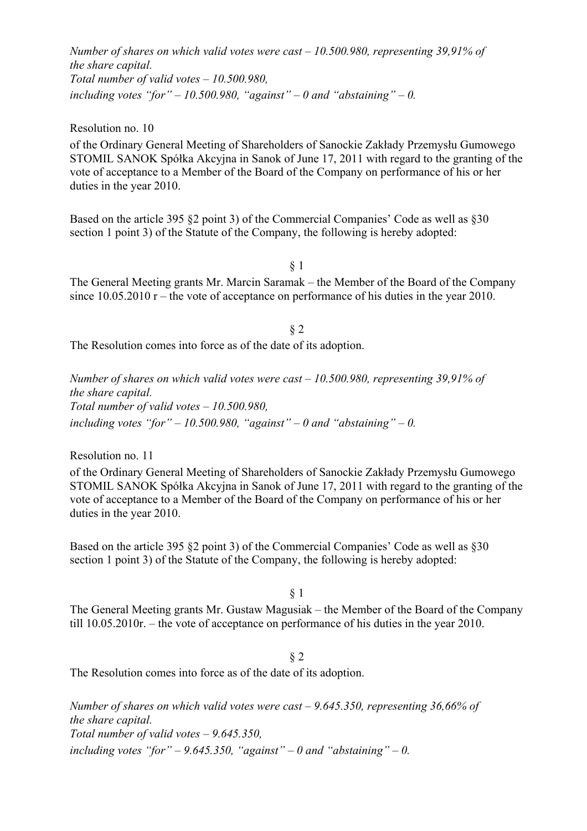*Number of shares on which valid votes were cast – 10.500.980, representing 39,91% of the share capital. Total number of valid votes – 10.500.980,*  including votes "for"  $-10.500.980$ , "against"  $-0$  and "abstaining"  $-0$ .

Resolution no. 10

of the Ordinary General Meeting of Shareholders of Sanockie Zakłady Przemysłu Gumowego STOMIL SANOK Spółka Akcyjna in Sanok of June 17, 2011 with regard to the granting of the vote of acceptance to a Member of the Board of the Company on performance of his or her duties in the year 2010.

Based on the article 395 §2 point 3) of the Commercial Companies' Code as well as §30 section 1 point 3) of the Statute of the Company, the following is hereby adopted:

§ 1

The General Meeting grants Mr. Marcin Saramak – the Member of the Board of the Company since 10.05.2010 r – the vote of acceptance on performance of his duties in the year 2010.

§ 2 The Resolution comes into force as of the date of its adoption.

*Number of shares on which valid votes were cast – 10.500.980, representing 39,91% of the share capital. Total number of valid votes – 10.500.980,*  including votes "for" – 10.500.980, "against" – 0 and "abstaining" – 0.

Resolution no. 11

of the Ordinary General Meeting of Shareholders of Sanockie Zakłady Przemysłu Gumowego STOMIL SANOK Spółka Akcyjna in Sanok of June 17, 2011 with regard to the granting of the vote of acceptance to a Member of the Board of the Company on performance of his or her duties in the year 2010.

Based on the article 395 §2 point 3) of the Commercial Companies' Code as well as §30 section 1 point 3) of the Statute of the Company, the following is hereby adopted:

§ 1

The General Meeting grants Mr. Gustaw Magusiak – the Member of the Board of the Company till 10.05.2010r. – the vote of acceptance on performance of his duties in the year 2010.

#### § 2

The Resolution comes into force as of the date of its adoption.

*Number of shares on which valid votes were cast – 9.645.350, representing 36,66% of the share capital. Total number of valid votes – 9.645.350,*  including votes "for" – 9.645.350, "against" – 0 and "abstaining" – 0.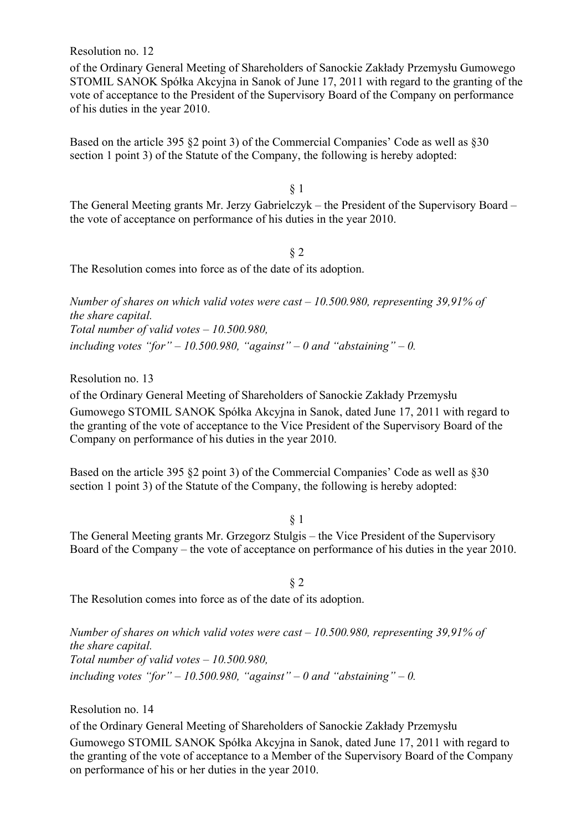Resolution no. 12

of the Ordinary General Meeting of Shareholders of Sanockie Zakłady Przemysłu Gumowego STOMIL SANOK Spółka Akcyjna in Sanok of June 17, 2011 with regard to the granting of the vote of acceptance to the President of the Supervisory Board of the Company on performance of his duties in the year 2010.

Based on the article 395 §2 point 3) of the Commercial Companies' Code as well as §30 section 1 point 3) of the Statute of the Company, the following is hereby adopted:

§ 1

The General Meeting grants Mr. Jerzy Gabrielczyk – the President of the Supervisory Board – the vote of acceptance on performance of his duties in the year 2010.

§ 2

The Resolution comes into force as of the date of its adoption.

*Number of shares on which valid votes were cast – 10.500.980, representing 39,91% of the share capital. Total number of valid votes – 10.500.980,*  including votes "for" – 10.500.980, "against" – 0 and "abstaining" – 0.

Resolution no. 13

of the Ordinary General Meeting of Shareholders of Sanockie Zakłady Przemysłu Gumowego STOMIL SANOK Spółka Akcyjna in Sanok, dated June 17, 2011 with regard to the granting of the vote of acceptance to the Vice President of the Supervisory Board of the Company on performance of his duties in the year 2010.

Based on the article 395 §2 point 3) of the Commercial Companies' Code as well as §30 section 1 point 3) of the Statute of the Company, the following is hereby adopted:

§ 1

The General Meeting grants Mr. Grzegorz Stulgis – the Vice President of the Supervisory Board of the Company – the vote of acceptance on performance of his duties in the year 2010.

§ 2

The Resolution comes into force as of the date of its adoption.

*Number of shares on which valid votes were cast – 10.500.980, representing 39,91% of the share capital. Total number of valid votes – 10.500.980,*  including votes "for" – 10.500.980, "against" – 0 and "abstaining" – 0.

Resolution no. 14

of the Ordinary General Meeting of Shareholders of Sanockie Zakłady Przemysłu Gumowego STOMIL SANOK Spółka Akcyjna in Sanok, dated June 17, 2011 with regard to the granting of the vote of acceptance to a Member of the Supervisory Board of the Company on performance of his or her duties in the year 2010.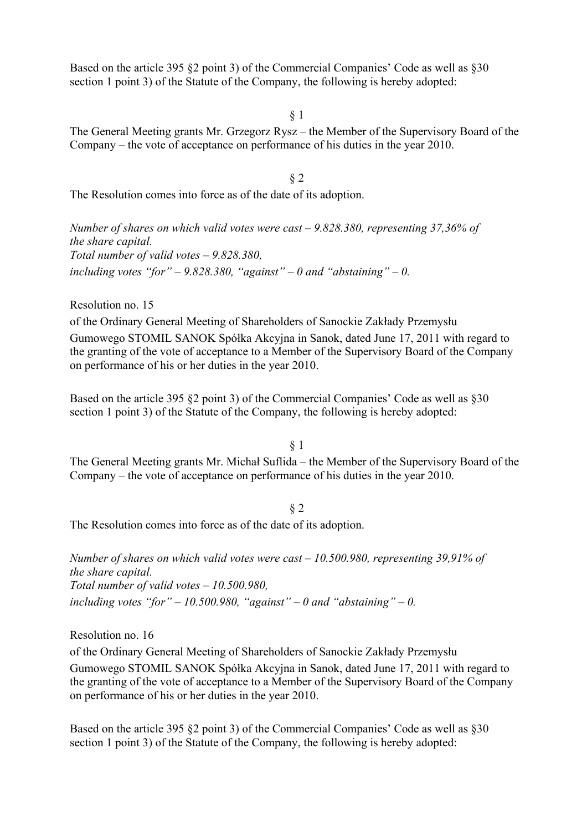Based on the article 395 §2 point 3) of the Commercial Companies' Code as well as §30 section 1 point 3) of the Statute of the Company, the following is hereby adopted:

§ 1

The General Meeting grants Mr. Grzegorz Rysz – the Member of the Supervisory Board of the Company – the vote of acceptance on performance of his duties in the year 2010.

§ 2

The Resolution comes into force as of the date of its adoption.

*Number of shares on which valid votes were cast – 9.828.380, representing 37,36% of the share capital. Total number of valid votes – 9.828.380,*  including votes "for"  $-$  9.828.380, "against"  $-$  0 and "abstaining"  $-$  0.

Resolution no. 15

of the Ordinary General Meeting of Shareholders of Sanockie Zakłady Przemysłu Gumowego STOMIL SANOK Spółka Akcyjna in Sanok, dated June 17, 2011 with regard to the granting of the vote of acceptance to a Member of the Supervisory Board of the Company on performance of his or her duties in the year 2010.

Based on the article 395 §2 point 3) of the Commercial Companies' Code as well as §30 section 1 point 3) of the Statute of the Company, the following is hereby adopted:

§ 1

The General Meeting grants Mr. Michał Suflida – the Member of the Supervisory Board of the Company – the vote of acceptance on performance of his duties in the year 2010.

§ 2 The Resolution comes into force as of the date of its adoption.

*Number of shares on which valid votes were cast – 10.500.980, representing 39,91% of the share capital. Total number of valid votes – 10.500.980,*  including votes "for" – 10.500.980, "against" – 0 and "abstaining" – 0.

Resolution no. 16

of the Ordinary General Meeting of Shareholders of Sanockie Zakłady Przemysłu Gumowego STOMIL SANOK Spółka Akcyjna in Sanok, dated June 17, 2011 with regard to the granting of the vote of acceptance to a Member of the Supervisory Board of the Company on performance of his or her duties in the year 2010.

Based on the article 395 §2 point 3) of the Commercial Companies' Code as well as §30 section 1 point 3) of the Statute of the Company, the following is hereby adopted: